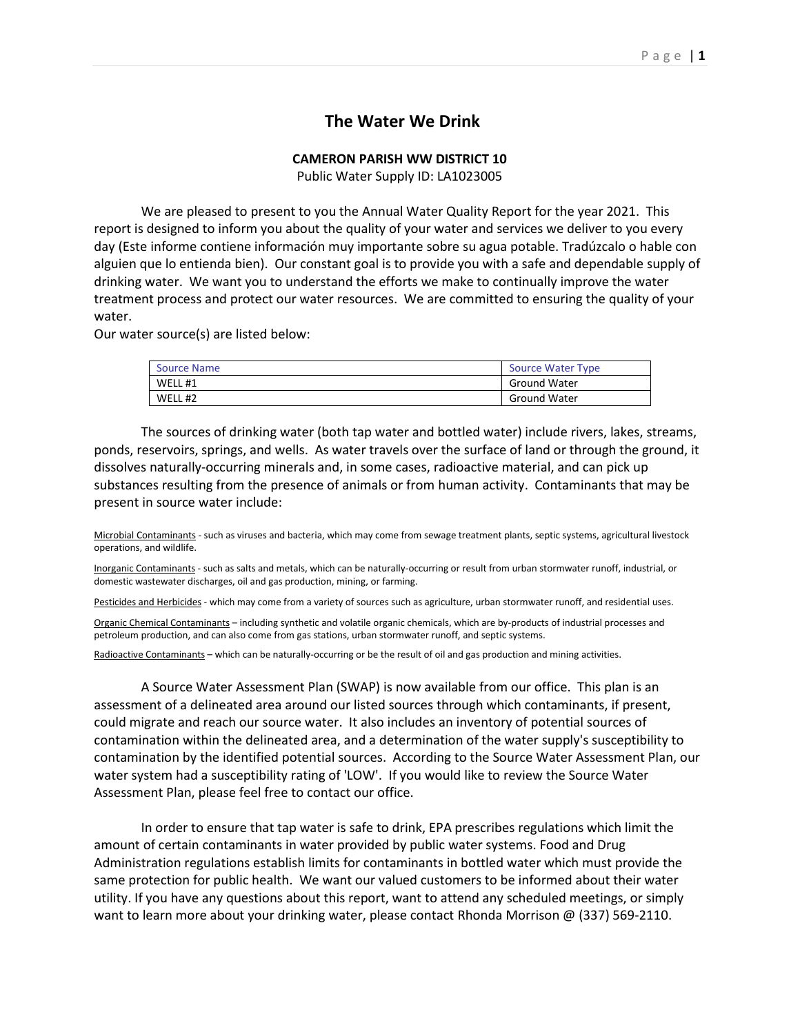# L**The Water We Drink**

### **CAMERON PARISH WW DISTRICT 10**

Public Water Supply ID: LA1023005

We are pleased to present to you the Annual Water Quality Report for the year 2021. This report is designed to inform you about the quality of your water and services we deliver to you every day (Este informe contiene información muy importante sobre su agua potable. Tradúzcalo o hable con alguien que lo entienda bien). Our constant goal is to provide you with a safe and dependable supply of drinking water. We want you to understand the efforts we make to continually improve the water treatment process and protect our water resources. We are committed to ensuring the quality of your water.

Our water source(s) are listed below:

| Source Name | Source Water Type   |
|-------------|---------------------|
| WELL #1     | <b>Ground Water</b> |
| WELL #2     | <b>Ground Water</b> |

The sources of drinking water (both tap water and bottled water) include rivers, lakes, streams, ponds, reservoirs, springs, and wells. As water travels over the surface of land or through the ground, it dissolves naturally-occurring minerals and, in some cases, radioactive material, and can pick up substances resulting from the presence of animals or from human activity. Contaminants that may be present in source water include:

Microbial Contaminants - such as viruses and bacteria, which may come from sewage treatment plants, septic systems, agricultural livestock operations, and wildlife.

Inorganic Contaminants - such as salts and metals, which can be naturally-occurring or result from urban stormwater runoff, industrial, or domestic wastewater discharges, oil and gas production, mining, or farming.

Pesticides and Herbicides - which may come from a variety of sources such as agriculture, urban stormwater runoff, and residential uses.

Organic Chemical Contaminants – including synthetic and volatile organic chemicals, which are by-products of industrial processes and petroleum production, and can also come from gas stations, urban stormwater runoff, and septic systems.

Radioactive Contaminants – which can be naturally-occurring or be the result of oil and gas production and mining activities.

A Source Water Assessment Plan (SWAP) is now available from our office. This plan is an assessment of a delineated area around our listed sources through which contaminants, if present, could migrate and reach our source water. It also includes an inventory of potential sources of contamination within the delineated area, and a determination of the water supply's susceptibility to contamination by the identified potential sources. According to the Source Water Assessment Plan, our water system had a susceptibility rating of 'LOW'. If you would like to review the Source Water Assessment Plan, please feel free to contact our office.

In order to ensure that tap water is safe to drink, EPA prescribes regulations which limit the amount of certain contaminants in water provided by public water systems. Food and Drug Administration regulations establish limits for contaminants in bottled water which must provide the same protection for public health. We want our valued customers to be informed about their water utility. If you have any questions about this report, want to attend any scheduled meetings, or simply want to learn more about your drinking water, please contact Rhonda Morrison @ (337) 569-2110.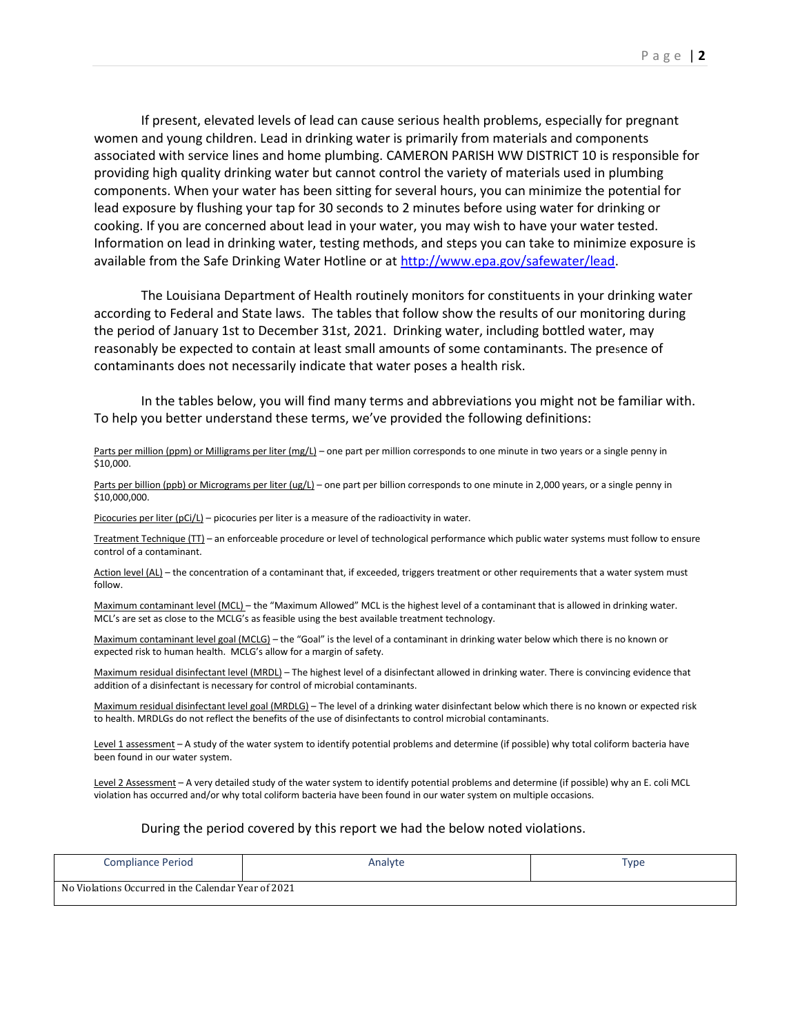If present, elevated levels of lead can cause serious health problems, especially for pregnant women and young children. Lead in drinking water is primarily from materials and components associated with service lines and home plumbing. CAMERON PARISH WW DISTRICT 10 is responsible for providing high quality drinking water but cannot control the variety of materials used in plumbing components. When your water has been sitting for several hours, you can minimize the potential for lead exposure by flushing your tap for 30 seconds to 2 minutes before using water for drinking or cooking. If you are concerned about lead in your water, you may wish to have your water tested. Information on lead in drinking water, testing methods, and steps you can take to minimize exposure is available from the Safe Drinking Water Hotline or a[t http://www.epa.gov/safewater/lead.](http://www.epa.gov/safewater/lead)

The Louisiana Department of Health routinely monitors for constituents in your drinking water according to Federal and State laws. The tables that follow show the results of our monitoring during the period of January 1st to December 31st, 2021. Drinking water, including bottled water, may reasonably be expected to contain at least small amounts of some contaminants. The presence of contaminants does not necessarily indicate that water poses a health risk.

In the tables below, you will find many terms and abbreviations you might not be familiar with. To help you better understand these terms, we've provided the following definitions:

#### Parts per million (ppm) or Milligrams per liter (mg/L) – one part per million corresponds to one minute in two years or a single penny in \$10,000.

Parts per billion (ppb) or Micrograms per liter (ug/L) – one part per billion corresponds to one minute in 2,000 years, or a single penny in \$10,000,000.

Picocuries per liter ( $pCi/L$ ) – picocuries per liter is a measure of the radioactivity in water.

Treatment Technique (TT) – an enforceable procedure or level of technological performance which public water systems must follow to ensure control of a contaminant.

Action level (AL) – the concentration of a contaminant that, if exceeded, triggers treatment or other requirements that a water system must follow.

Maximum contaminant level (MCL) – the "Maximum Allowed" MCL is the highest level of a contaminant that is allowed in drinking water. MCL's are set as close to the MCLG's as feasible using the best available treatment technology.

Maximum contaminant level goal (MCLG) – the "Goal" is the level of a contaminant in drinking water below which there is no known or expected risk to human health. MCLG's allow for a margin of safety.

Maximum residual disinfectant level (MRDL) – The highest level of a disinfectant allowed in drinking water. There is convincing evidence that addition of a disinfectant is necessary for control of microbial contaminants.

Maximum residual disinfectant level goal (MRDLG) – The level of a drinking water disinfectant below which there is no known or expected risk to health. MRDLGs do not reflect the benefits of the use of disinfectants to control microbial contaminants.

Level 1 assessment – A study of the water system to identify potential problems and determine (if possible) why total coliform bacteria have been found in our water system.

Level 2 Assessment - A very detailed study of the water system to identify potential problems and determine (if possible) why an E. coli MCL violation has occurred and/or why total coliform bacteria have been found in our water system on multiple occasions.

#### During the period covered by this report we had the below noted violations.

| <b>Compliance Period</b>                            | Analyte | Type |
|-----------------------------------------------------|---------|------|
| No Violations Occurred in the Calendar Year of 2021 |         |      |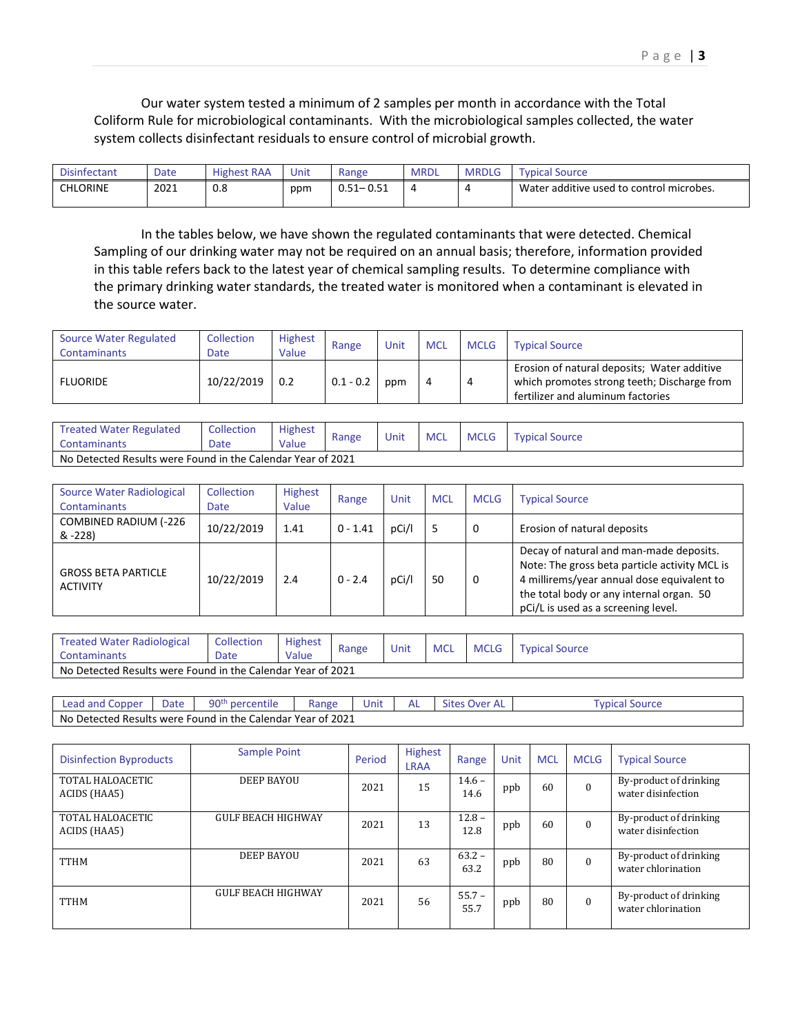| Disinfectant    | Date | <b>Highest RAA</b> | Unit | Range                      | MRDL                    | <b>MRDLG</b> | <b>Typical Source</b>                    |
|-----------------|------|--------------------|------|----------------------------|-------------------------|--------------|------------------------------------------|
| <b>CHLORINE</b> | 2021 | 0.8                | ppm  | 0.51<br>ົ ເ− ∪.ວ⊥<br>ב כ.ט | $\overline{\mathbf{r}}$ | Д            | Water additive used to control microbes. |

In the tables below, we have shown the regulated contaminants that were detected. Chemical Sampling of our drinking water may not be required on an annual basis; therefore, information provided in this table refers back to the latest year of chemical sampling results. To determine compliance with the primary drinking water standards, the treated water is monitored when a contaminant is elevated in the source water.

| <b>Source Water Regulated</b><br>Contaminants | Collection<br>Date | <b>Highest</b><br>Value | Range       | Unit | <b>MCL</b> | <b>MCLG</b> | <b>Typical Source</b>                                                                                                           |
|-----------------------------------------------|--------------------|-------------------------|-------------|------|------------|-------------|---------------------------------------------------------------------------------------------------------------------------------|
| <b>FLUORIDE</b>                               | 10/22/2019         | 0.2                     | $0.1 - 0.2$ | ppm  |            |             | Erosion of natural deposits; Water additive<br>which promotes strong teeth; Discharge from<br>fertilizer and aluminum factories |

| <b>Treated Water Regulated</b><br><b>Contaminants</b>       | Collection<br>Date | <b>Highest</b><br>Value | Range | Unit | <b>MCL</b> | <b>MCLG</b> | <b>Typical Source</b> |  |  |  |
|-------------------------------------------------------------|--------------------|-------------------------|-------|------|------------|-------------|-----------------------|--|--|--|
| No Detected Results were Found in the Calendar Year of 2021 |                    |                         |       |      |            |             |                       |  |  |  |

| Source Water Radiological<br><b>Contaminants</b> | Collection<br><b>Date</b> | <b>Highest</b><br>Value | Range      | Unit  | <b>MCL</b> | <b>MCLG</b> | <b>Typical Source</b>                                                                                                                                                                                                     |  |  |
|--------------------------------------------------|---------------------------|-------------------------|------------|-------|------------|-------------|---------------------------------------------------------------------------------------------------------------------------------------------------------------------------------------------------------------------------|--|--|
| COMBINED RADIUM (-226<br>& -228)                 | 10/22/2019                | 1.41                    | $0 - 1.41$ | pCi/l |            | 0           | Erosion of natural deposits                                                                                                                                                                                               |  |  |
| <b>GROSS BETA PARTICLE</b><br><b>ACTIVITY</b>    | 10/22/2019                | 2.4                     | $0 - 2.4$  | pCi/l | 50         | 0           | Decay of natural and man-made deposits.<br>Note: The gross beta particle activity MCL is<br>4 millirems/year annual dose equivalent to<br>the total body or any internal organ. 50<br>pCi/L is used as a screening level. |  |  |

| <b>Treated Water Radiological</b><br>Contaminants           | <b>Collection</b><br>Date | Highest<br>Value | Range | Unit | <b>MCL</b> | <b>MCLG</b> | <b>Typical Source</b> |
|-------------------------------------------------------------|---------------------------|------------------|-------|------|------------|-------------|-----------------------|
| No Detected Results were Found in the Calendar Year of 2021 |                           |                  |       |      |            |             |                       |

| Lead and Copper | Date | 90 <sup>th</sup> percentile                                 | Range | Jnıt | <b>Sites</b><br>Over AL | Typical Source |
|-----------------|------|-------------------------------------------------------------|-------|------|-------------------------|----------------|
|                 |      | No Detected Results were Found in the Calendar Year of 2021 |       |      |                         |                |

| <b>Disinfection Byproducts</b>   | Sample Point       | Period | <b>Highest</b><br><b>LRAA</b> | Range            | Unit | <b>MCL</b> | <b>MCLG</b> | <b>Typical Source</b>                        |
|----------------------------------|--------------------|--------|-------------------------------|------------------|------|------------|-------------|----------------------------------------------|
| TOTAL HALOACETIC<br>ACIDS (HAA5) | DEEP BAYOU         | 2021   | 15                            | $14.6 -$<br>14.6 | ppb  | 60         | $\theta$    | By-product of drinking<br>water disinfection |
| TOTAL HALOACETIC<br>ACIDS (HAA5) | GULF BEACH HIGHWAY | 2021   | 13                            | $12.8 -$<br>12.8 | ppb  | 60         | $\theta$    | By-product of drinking<br>water disinfection |
| <b>TTHM</b>                      | DEEP BAYOU         | 2021   | 63                            | $63.2 -$<br>63.2 | ppb  | 80         | $\theta$    | By-product of drinking<br>water chlorination |
| <b>TTHM</b>                      | GULF BEACH HIGHWAY | 2021   | 56                            | $55.7 -$<br>55.7 | ppb  | 80         | $\theta$    | By-product of drinking<br>water chlorination |